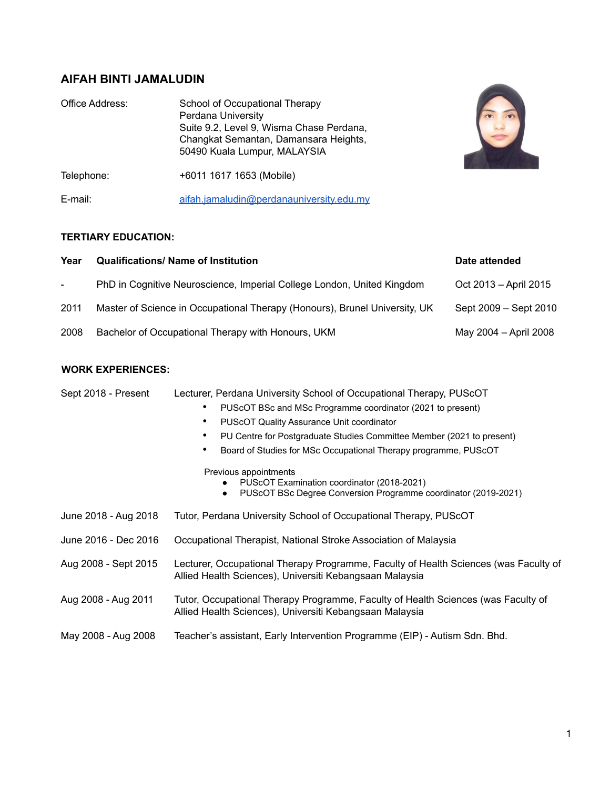# **AIFAH BINTI JAMALUDIN**

| Office Address: | School of Occupational Therapy<br>Perdana University<br>Suite 9.2, Level 9, Wisma Chase Perdana,<br>Changkat Semantan, Damansara Heights,<br>50490 Kuala Lumpur, MALAYSIA |  |  |
|-----------------|---------------------------------------------------------------------------------------------------------------------------------------------------------------------------|--|--|
| Telephone:      | +6011 1617 1653 (Mobile)                                                                                                                                                  |  |  |
| E-mail:         | aifah.jamaludin@perdanauniversity.edu.my                                                                                                                                  |  |  |

# **TERTIARY EDUCATION:**

| Year   | <b>Qualifications/ Name of Institution</b>                                 | Date attended         |
|--------|----------------------------------------------------------------------------|-----------------------|
| $\sim$ | PhD in Cognitive Neuroscience, Imperial College London, United Kingdom     | Oct 2013 – April 2015 |
| 2011   | Master of Science in Occupational Therapy (Honours), Brunel University, UK | Sept 2009 – Sept 2010 |
| 2008   | Bachelor of Occupational Therapy with Honours, UKM                         | May 2004 - April 2008 |

# **WORK EXPERIENCES:**

| Sept 2018 - Present  | Lecturer, Perdana University School of Occupational Therapy, PUScOT                                                                             |  |  |  |
|----------------------|-------------------------------------------------------------------------------------------------------------------------------------------------|--|--|--|
|                      | PUScOT BSc and MSc Programme coordinator (2021 to present)                                                                                      |  |  |  |
|                      | <b>PUSCOT Quality Assurance Unit coordinator</b><br>٠                                                                                           |  |  |  |
|                      | PU Centre for Postgraduate Studies Committee Member (2021 to present)<br>٠                                                                      |  |  |  |
|                      | Board of Studies for MSc Occupational Therapy programme, PUScOT                                                                                 |  |  |  |
|                      | Previous appointments                                                                                                                           |  |  |  |
|                      | PUSCOT Examination coordinator (2018-2021)<br>PUScOT BSc Degree Conversion Programme coordinator (2019-2021)                                    |  |  |  |
| June 2018 - Aug 2018 | Tutor, Perdana University School of Occupational Therapy, PUScOT                                                                                |  |  |  |
| June 2016 - Dec 2016 | Occupational Therapist, National Stroke Association of Malaysia                                                                                 |  |  |  |
| Aug 2008 - Sept 2015 | Lecturer, Occupational Therapy Programme, Faculty of Health Sciences (was Faculty of<br>Allied Health Sciences), Universiti Kebangsaan Malaysia |  |  |  |
| Aug 2008 - Aug 2011  | Tutor, Occupational Therapy Programme, Faculty of Health Sciences (was Faculty of<br>Allied Health Sciences), Universiti Kebangsaan Malaysia    |  |  |  |
| May 2008 - Aug 2008  | Teacher's assistant, Early Intervention Programme (EIP) - Autism Sdn. Bhd.                                                                      |  |  |  |

R.R.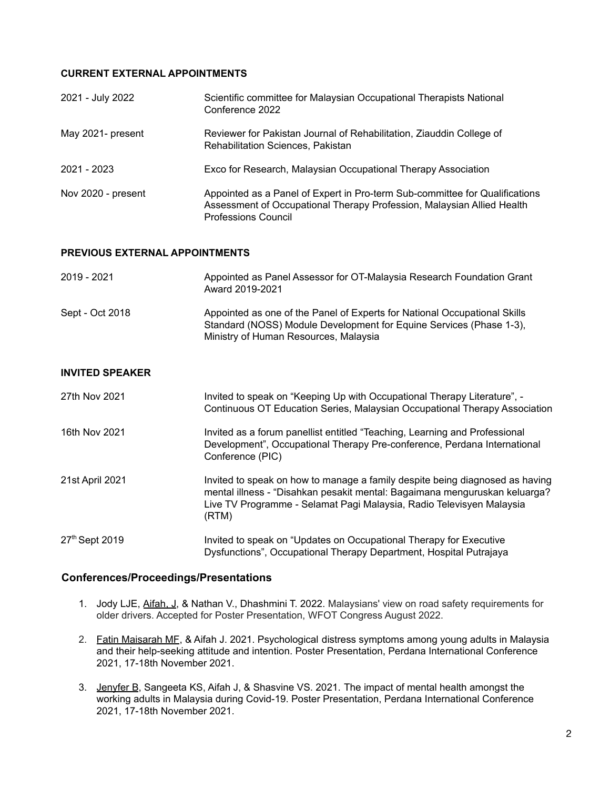## **CURRENT EXTERNAL APPOINTMENTS**

| 2021 - July 2022   | Scientific committee for Malaysian Occupational Therapists National<br>Conference 2022                                                                                              |
|--------------------|-------------------------------------------------------------------------------------------------------------------------------------------------------------------------------------|
| May 2021- present  | Reviewer for Pakistan Journal of Rehabilitation, Ziauddin College of<br>Rehabilitation Sciences, Pakistan                                                                           |
| 2021 - 2023        | Exco for Research, Malaysian Occupational Therapy Association                                                                                                                       |
| Nov 2020 - present | Appointed as a Panel of Expert in Pro-term Sub-committee for Qualifications<br>Assessment of Occupational Therapy Profession, Malaysian Allied Health<br><b>Professions Council</b> |

#### **PREVIOUS EXTERNAL APPOINTMENTS**

| 2019 - 2021     | Appointed as Panel Assessor for OT-Malaysia Research Foundation Grant<br>Award 2019-2021                                                                                                  |
|-----------------|-------------------------------------------------------------------------------------------------------------------------------------------------------------------------------------------|
| Sept - Oct 2018 | Appointed as one of the Panel of Experts for National Occupational Skills<br>Standard (NOSS) Module Development for Equine Services (Phase 1-3),<br>Ministry of Human Resources, Malaysia |

#### **INVITED SPEAKER**

| 27th Nov 2021   | Invited to speak on "Keeping Up with Occupational Therapy Literature", -<br>Continuous OT Education Series, Malaysian Occupational Therapy Association                                                                                      |
|-----------------|---------------------------------------------------------------------------------------------------------------------------------------------------------------------------------------------------------------------------------------------|
| 16th Nov 2021   | Invited as a forum panellist entitled "Teaching, Learning and Professional<br>Development", Occupational Therapy Pre-conference, Perdana International<br>Conference (PIC)                                                                  |
| 21st April 2021 | Invited to speak on how to manage a family despite being diagnosed as having<br>mental illness - "Disahkan pesakit mental: Bagaimana menguruskan keluarga?<br>Live TV Programme - Selamat Pagi Malaysia, Radio Televisyen Malaysia<br>(RTM) |
| 27th Sept 2019  | Invited to speak on "Updates on Occupational Therapy for Executive<br>Dysfunctions", Occupational Therapy Department, Hospital Putrajaya                                                                                                    |

## **Conferences/Proceedings/Presentations**

- 1. Jody LJE, Aifah, J, & Nathan V., Dhashmini T. 2022. Malaysians' view on road safety requirements for older drivers. Accepted for Poster Presentation, WFOT Congress August 2022.
- 2. Fatin Maisarah MF, & Aifah J. 2021. Psychological distress symptoms among young adults in Malaysia and their help-seeking attitude and intention. Poster Presentation, Perdana International Conference 2021, 17-18th November 2021.
- 3. Jenyfer B, Sangeeta KS, Aifah J, & Shasvine VS. 2021. The impact of mental health amongst the working adults in Malaysia during Covid-19. Poster Presentation, Perdana International Conference 2021, 17-18th November 2021.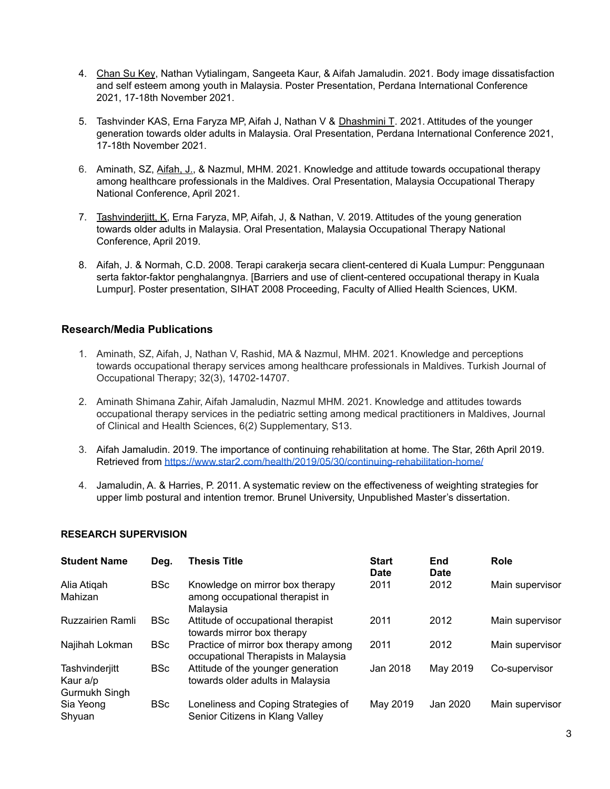- 4. Chan Su Key, Nathan Vytialingam, Sangeeta Kaur, & Aifah Jamaludin. 2021. Body image dissatisfaction and self esteem among youth in Malaysia. Poster Presentation, Perdana International Conference 2021, 17-18th November 2021.
- 5. Tashvinder KAS, Erna Faryza MP, Aifah J, Nathan V & Dhashmini T. 2021. Attitudes of the younger generation towards older adults in Malaysia. Oral Presentation, Perdana International Conference 2021, 17-18th November 2021.
- 6. Aminath, SZ, Aifah, J., & Nazmul, MHM. 2021. Knowledge and attitude towards occupational therapy among healthcare professionals in the Maldives. Oral Presentation, Malaysia Occupational Therapy National Conference, April 2021.
- 7. Tashvinderjitt, K, Erna Faryza, MP, Aifah, J, & Nathan, V. 2019. Attitudes of the young generation towards older adults in Malaysia. Oral Presentation, Malaysia Occupational Therapy National Conference, April 2019.
- 8. Aifah, J. & Normah, C.D. 2008. Terapi carakerja secara client-centered di Kuala Lumpur: Penggunaan serta faktor-faktor penghalangnya. [Barriers and use of client-centered occupational therapy in Kuala Lumpur]. Poster presentation, SIHAT 2008 Proceeding, Faculty of Allied Health Sciences, UKM.

# **Research/Media Publications**

- 1. Aminath, SZ, Aifah, J, Nathan V, Rashid, MA & Nazmul, MHM. 2021. Knowledge and perceptions towards occupational therapy services among healthcare professionals in Maldives. Turkish Journal of Occupational Therapy; 32(3), 14702-14707.
- 2. Aminath Shimana Zahir, Aifah Jamaludin, Nazmul MHM. 2021. Knowledge and attitudes towards occupational therapy services in the pediatric setting among medical practitioners in Maldives, Journal of Clinical and Health Sciences, 6(2) Supplementary, S13.
- 3. Aifah Jamaludin. 2019. The importance of continuing rehabilitation at home. The Star, 26th April 2019. Retrieved from <https://www.star2.com/health/2019/05/30/continuing-rehabilitation-home/>
- 4. Jamaludin, A. & Harries, P. 2011. A systematic review on the effectiveness of weighting strategies for upper limb postural and intention tremor. Brunel University, Unpublished Master's dissertation.

#### **RESEARCH SUPERVISION**

| <b>Student Name</b>                         | Deg.       | <b>Thesis Title</b>                                                            | <b>Start</b><br>Date | End<br>Date | Role            |
|---------------------------------------------|------------|--------------------------------------------------------------------------------|----------------------|-------------|-----------------|
| Alia Atigah<br>Mahizan                      | <b>BSc</b> | Knowledge on mirror box therapy<br>among occupational therapist in<br>Malaysia | 2011                 | 2012        | Main supervisor |
| <b>Ruzzairien Ramli</b>                     | <b>BSc</b> | Attitude of occupational therapist<br>towards mirror box therapy               | 2011                 | 2012        | Main supervisor |
| Najihah Lokman                              | <b>BSc</b> | Practice of mirror box therapy among<br>occupational Therapists in Malaysia    | 2011                 | 2012        | Main supervisor |
| Tashvinderjitt<br>Kaur a/p<br>Gurmukh Singh | <b>BSc</b> | Attitude of the younger generation<br>towards older adults in Malaysia         | Jan 2018             | May 2019    | Co-supervisor   |
| Sia Yeong<br>Shyuan                         | <b>BSc</b> | Loneliness and Coping Strategies of<br>Senior Citizens in Klang Valley         | May 2019             | Jan 2020    | Main supervisor |